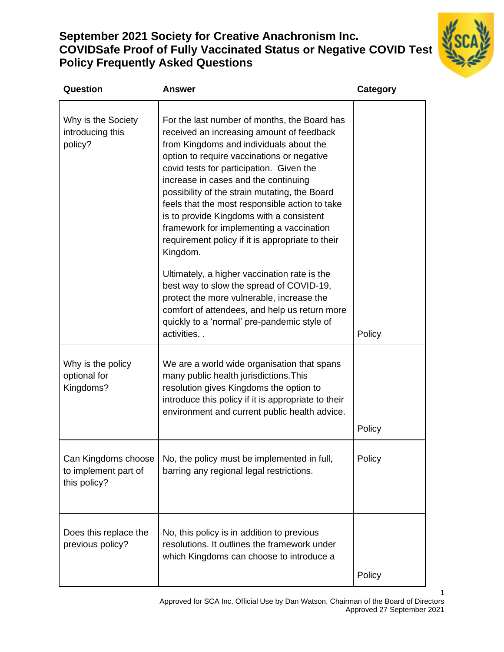# **September 2021 Society for Creative Anachronism Inc. COVIDSafe Proof of Fully Vaccinated Status or Negative COVID Test Policy Frequently Asked Questions**



1

| Question                                                    | Answer                                                                                                                                                                                                                                                                                                                                                                                                                                                                                                                                                                                                                                                                                                                                                                                   | <b>Category</b> |
|-------------------------------------------------------------|------------------------------------------------------------------------------------------------------------------------------------------------------------------------------------------------------------------------------------------------------------------------------------------------------------------------------------------------------------------------------------------------------------------------------------------------------------------------------------------------------------------------------------------------------------------------------------------------------------------------------------------------------------------------------------------------------------------------------------------------------------------------------------------|-----------------|
| Why is the Society<br>introducing this<br>policy?           | For the last number of months, the Board has<br>received an increasing amount of feedback<br>from Kingdoms and individuals about the<br>option to require vaccinations or negative<br>covid tests for participation. Given the<br>increase in cases and the continuing<br>possibility of the strain mutating, the Board<br>feels that the most responsible action to take<br>is to provide Kingdoms with a consistent<br>framework for implementing a vaccination<br>requirement policy if it is appropriate to their<br>Kingdom.<br>Ultimately, a higher vaccination rate is the<br>best way to slow the spread of COVID-19,<br>protect the more vulnerable, increase the<br>comfort of attendees, and help us return more<br>quickly to a 'normal' pre-pandemic style of<br>activities | Policy          |
| Why is the policy<br>optional for<br>Kingdoms?              | We are a world wide organisation that spans<br>many public health jurisdictions. This<br>resolution gives Kingdoms the option to<br>introduce this policy if it is appropriate to their<br>environment and current public health advice.                                                                                                                                                                                                                                                                                                                                                                                                                                                                                                                                                 | Policy          |
| Can Kingdoms choose<br>to implement part of<br>this policy? | No, the policy must be implemented in full,<br>barring any regional legal restrictions.                                                                                                                                                                                                                                                                                                                                                                                                                                                                                                                                                                                                                                                                                                  | Policy          |
| Does this replace the<br>previous policy?                   | No, this policy is in addition to previous<br>resolutions. It outlines the framework under<br>which Kingdoms can choose to introduce a                                                                                                                                                                                                                                                                                                                                                                                                                                                                                                                                                                                                                                                   | Policy          |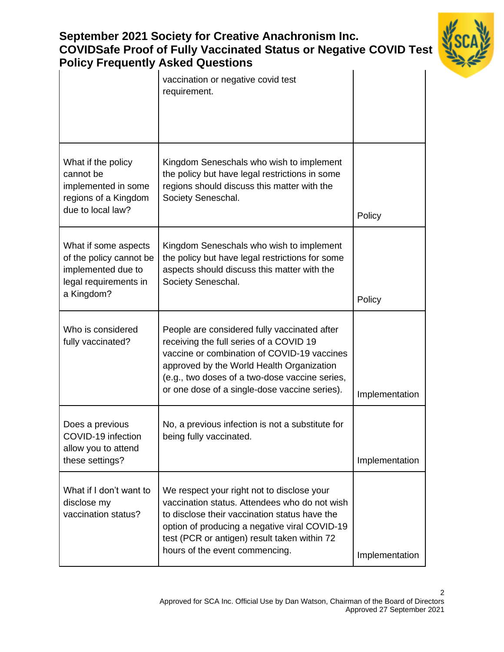## **September 2021 Society for Creative Anachronism Inc. COVIDSafe Proof of Fully Vaccinated Status or Negative COVID Test Policy Frequently Asked Questions**



|                                                                                                              | $\mathcal{L}_{\mathbf{y}}$ , requesting reduced Queenon<br>vaccination or negative covid test<br>requirement.                                                                                                                                                                          |                |
|--------------------------------------------------------------------------------------------------------------|----------------------------------------------------------------------------------------------------------------------------------------------------------------------------------------------------------------------------------------------------------------------------------------|----------------|
| What if the policy<br>cannot be<br>implemented in some<br>regions of a Kingdom<br>due to local law?          | Kingdom Seneschals who wish to implement<br>the policy but have legal restrictions in some<br>regions should discuss this matter with the<br>Society Seneschal.                                                                                                                        | Policy         |
| What if some aspects<br>of the policy cannot be<br>implemented due to<br>legal requirements in<br>a Kingdom? | Kingdom Seneschals who wish to implement<br>the policy but have legal restrictions for some<br>aspects should discuss this matter with the<br>Society Seneschal.                                                                                                                       | Policy         |
| Who is considered<br>fully vaccinated?                                                                       | People are considered fully vaccinated after<br>receiving the full series of a COVID 19<br>vaccine or combination of COVID-19 vaccines<br>approved by the World Health Organization<br>(e.g., two doses of a two-dose vaccine series,<br>or one dose of a single-dose vaccine series). | Implementation |
| Does a previous<br>COVID-19 infection<br>allow you to attend<br>these settings?                              | No, a previous infection is not a substitute for<br>being fully vaccinated.                                                                                                                                                                                                            | Implementation |
| What if I don't want to<br>disclose my<br>vaccination status?                                                | We respect your right not to disclose your<br>vaccination status. Attendees who do not wish<br>to disclose their vaccination status have the<br>option of producing a negative viral COVID-19<br>test (PCR or antigen) result taken within 72<br>hours of the event commencing.        | Implementation |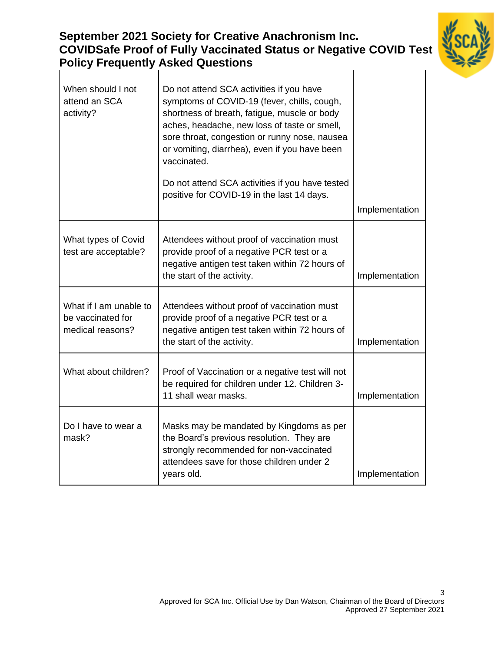| <b>Policy Frequently Asked Questions</b>                        | <b>COVIDSafe Proof of Fully Vaccinated Status or Negative COVID Test</b>                                                                                                                                                                                                                                 |                |
|-----------------------------------------------------------------|----------------------------------------------------------------------------------------------------------------------------------------------------------------------------------------------------------------------------------------------------------------------------------------------------------|----------------|
| When should I not<br>attend an SCA<br>activity?                 | Do not attend SCA activities if you have<br>symptoms of COVID-19 (fever, chills, cough,<br>shortness of breath, fatigue, muscle or body<br>aches, headache, new loss of taste or smell,<br>sore throat, congestion or runny nose, nausea<br>or vomiting, diarrhea), even if you have been<br>vaccinated. |                |
|                                                                 | Do not attend SCA activities if you have tested<br>positive for COVID-19 in the last 14 days.                                                                                                                                                                                                            |                |
|                                                                 |                                                                                                                                                                                                                                                                                                          | Implementation |
| What types of Covid<br>test are acceptable?                     | Attendees without proof of vaccination must<br>provide proof of a negative PCR test or a<br>negative antigen test taken within 72 hours of<br>the start of the activity.                                                                                                                                 | Implementation |
| What if I am unable to<br>be vaccinated for<br>medical reasons? | Attendees without proof of vaccination must<br>provide proof of a negative PCR test or a<br>negative antigen test taken within 72 hours of<br>the start of the activity.                                                                                                                                 | Implementation |
| What about children?                                            | Proof of Vaccination or a negative test will not<br>be required for children under 12. Children 3-<br>11 shall wear masks.                                                                                                                                                                               | Implementation |
| Do I have to wear a<br>mask?                                    | Masks may be mandated by Kingdoms as per<br>the Board's previous resolution. They are<br>strongly recommended for non-vaccinated<br>attendees save for those children under 2<br>years old.                                                                                                              | Implementation |

**September 2021 Society for Creative Anachronism Inc.**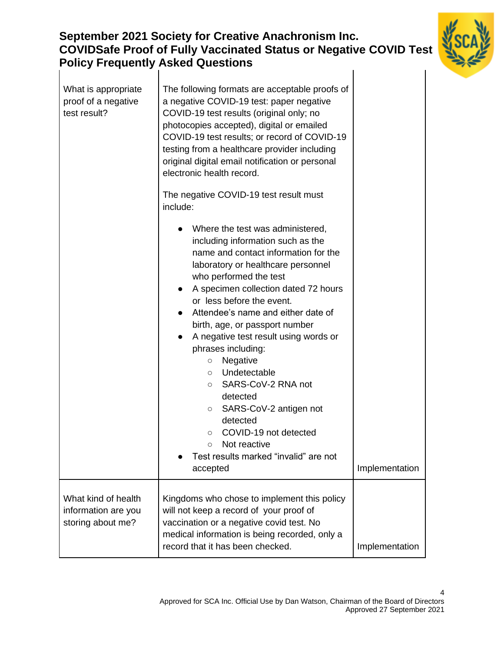### **September 2021 Society for Creative Anachronism Inc. COVIDSafe Proof of Fully Vaccinated Status or Negative COVID Test Policy Frequently Asked Questions**  $\overline{1}$



| What is appropriate<br>proof of a negative<br>test result?      | The following formats are acceptable proofs of<br>a negative COVID-19 test: paper negative<br>COVID-19 test results (original only; no<br>photocopies accepted), digital or emailed<br>COVID-19 test results; or record of COVID-19<br>testing from a healthcare provider including<br>original digital email notification or personal<br>electronic health record.<br>The negative COVID-19 test result must<br>include:                                                                                                                                                                                                                                            |                |
|-----------------------------------------------------------------|----------------------------------------------------------------------------------------------------------------------------------------------------------------------------------------------------------------------------------------------------------------------------------------------------------------------------------------------------------------------------------------------------------------------------------------------------------------------------------------------------------------------------------------------------------------------------------------------------------------------------------------------------------------------|----------------|
|                                                                 | Where the test was administered,<br>including information such as the<br>name and contact information for the<br>laboratory or healthcare personnel<br>who performed the test<br>A specimen collection dated 72 hours<br>or less before the event.<br>Attendee's name and either date of<br>birth, age, or passport number<br>A negative test result using words or<br>$\bullet$<br>phrases including:<br>Negative<br>$\circ$<br>Undetectable<br>$\circ$<br>SARS-CoV-2 RNA not<br>$\circ$<br>detected<br>SARS-CoV-2 antigen not<br>O<br>detected<br>COVID-19 not detected<br>$\circ$<br>Not reactive<br>$\circ$<br>Test results marked "invalid" are not<br>accepted | Implementation |
| What kind of health<br>information are you<br>storing about me? | Kingdoms who chose to implement this policy<br>will not keep a record of your proof of<br>vaccination or a negative covid test. No<br>medical information is being recorded, only a<br>record that it has been checked.                                                                                                                                                                                                                                                                                                                                                                                                                                              | Implementation |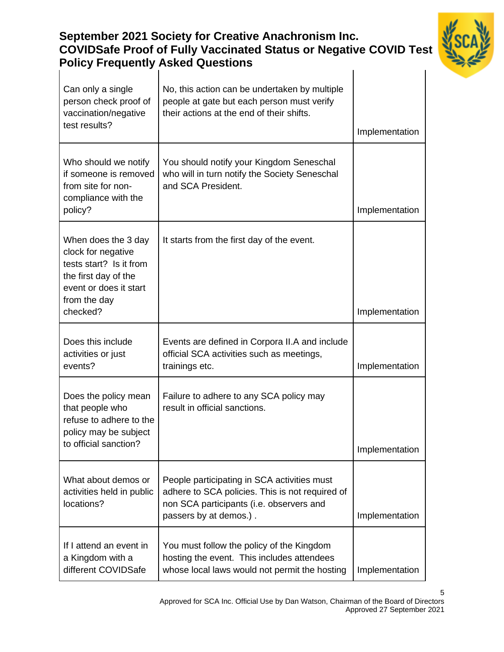#### **September 2021 Society for Creative Anachronism Inc. COVIDSafe Proof of Fully Vaccinated Status or Negative COVID Test Policy Frequently Asked Questions**  $\overline{1}$



| Can only a single<br>person check proof of<br>vaccination/negative<br>test results?                                                    | No, this action can be undertaken by multiple<br>people at gate but each person must verify<br>their actions at the end of their shifts.                             |                |
|----------------------------------------------------------------------------------------------------------------------------------------|----------------------------------------------------------------------------------------------------------------------------------------------------------------------|----------------|
|                                                                                                                                        |                                                                                                                                                                      | Implementation |
| Who should we notify<br>if someone is removed<br>from site for non-<br>compliance with the<br>policy?                                  | You should notify your Kingdom Seneschal<br>who will in turn notify the Society Seneschal<br>and SCA President.                                                      |                |
|                                                                                                                                        |                                                                                                                                                                      | Implementation |
| When does the 3 day<br>clock for negative<br>tests start? Is it from<br>the first day of the<br>event or does it start<br>from the day | It starts from the first day of the event.                                                                                                                           |                |
| checked?                                                                                                                               |                                                                                                                                                                      | Implementation |
| Does this include<br>activities or just<br>events?                                                                                     | Events are defined in Corpora II.A and include<br>official SCA activities such as meetings,<br>trainings etc.                                                        | Implementation |
| Does the policy mean<br>that people who<br>refuse to adhere to the<br>policy may be subject<br>to official sanction?                   | Failure to adhere to any SCA policy may<br>result in official sanctions.                                                                                             | Implementation |
|                                                                                                                                        |                                                                                                                                                                      |                |
| What about demos or<br>activities held in public<br>locations?                                                                         | People participating in SCA activities must<br>adhere to SCA policies. This is not required of<br>non SCA participants (i.e. observers and<br>passers by at demos.). | Implementation |
| If I attend an event in<br>a Kingdom with a<br>different COVIDSafe                                                                     | You must follow the policy of the Kingdom<br>hosting the event. This includes attendees<br>whose local laws would not permit the hosting                             | Implementation |